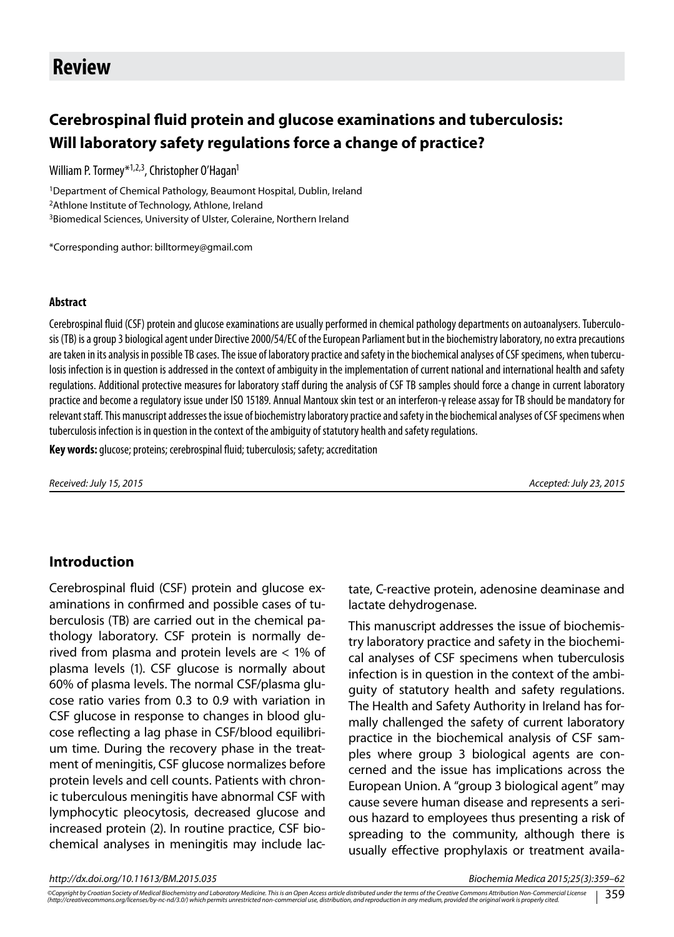# **Review**

# **Cerebrospinal fluid protein and glucose examinations and tuberculosis: Will laboratory safety regulations force a change of practice?**

William P. Tormey<sup>\*1,2,3</sup>, Christopher O'Hagan<sup>1</sup>

<sup>1</sup>Department of Chemical Pathology, Beaumont Hospital, Dublin, Ireland <sup>2</sup>Athlone Institute of Technology, Athlone, Ireland <sup>3</sup>Biomedical Sciences, University of Ulster, Coleraine, Northern Ireland

\*Corresponding author: billtormey@gmail.com

#### **Abstract**

Cerebrospinal fluid (CSF) protein and glucose examinations are usually performed in chemical pathology departments on autoanalysers. Tuberculosis (TB) is a group 3 biological agent under Directive 2000/54/EC of the European Parliament but in the biochemistry laboratory, no extra precautions are taken in its analysis in possible TB cases. The issue of laboratory practice and safety in the biochemical analyses of CSF specimens, when tuberculosis infection is in question is addressed in the context of ambiguity in the implementation of current national and international health and safety regulations. Additional protective measures for laboratory staff during the analysis of CSF TB samples should force a change in current laboratory practice and become a regulatory issue under ISO 15189. Annual Mantoux skin test or an interferon-γ release assay for TB should be mandatory for relevant staff. This manuscript addresses the issue of biochemistry laboratory practice and safety in the biochemical analyses of CSF specimens when tuberculosis infection is in question in the context of the ambiguity of statutory health and safety regulations.

**Key words:** glucose; proteins; cerebrospinal fluid; tuberculosis; safety; accreditation

*Received: July 15, 2015 Accepted: July 23, 2015*

#### **Introduction**

Cerebrospinal fluid (CSF) protein and glucose examinations in confirmed and possible cases of tuberculosis (TB) are carried out in the chemical pathology laboratory. CSF protein is normally derived from plasma and protein levels are < 1% of plasma levels (1). CSF glucose is normally about 60% of plasma levels. The normal CSF/plasma glucose ratio varies from 0.3 to 0.9 with variation in CSF glucose in response to changes in blood glucose reflecting a lag phase in CSF/blood equilibrium time. During the recovery phase in the treatment of meningitis, CSF glucose normalizes before protein levels and cell counts. Patients with chronic tuberculous meningitis have abnormal CSF with lymphocytic pleocytosis, decreased glucose and increased protein (2). In routine practice, CSF biochemical analyses in meningitis may include lactate, C-reactive protein, adenosine deaminase and lactate dehydrogenase.

This manuscript addresses the issue of biochemistry laboratory practice and safety in the biochemical analyses of CSF specimens when tuberculosis infection is in question in the context of the ambiguity of statutory health and safety regulations. The Health and Safety Authority in Ireland has formally challenged the safety of current laboratory practice in the biochemical analysis of CSF samples where group 3 biological agents are concerned and the issue has implications across the European Union. A "group 3 biological agent" may cause severe human disease and represents a serious hazard to employees thus presenting a risk of spreading to the community, although there is usually effective prophylaxis or treatment availa-

*http://dx.doi.org/10.11613/BM.2015.035 Biochemia Medica 2015;25(3):359–62*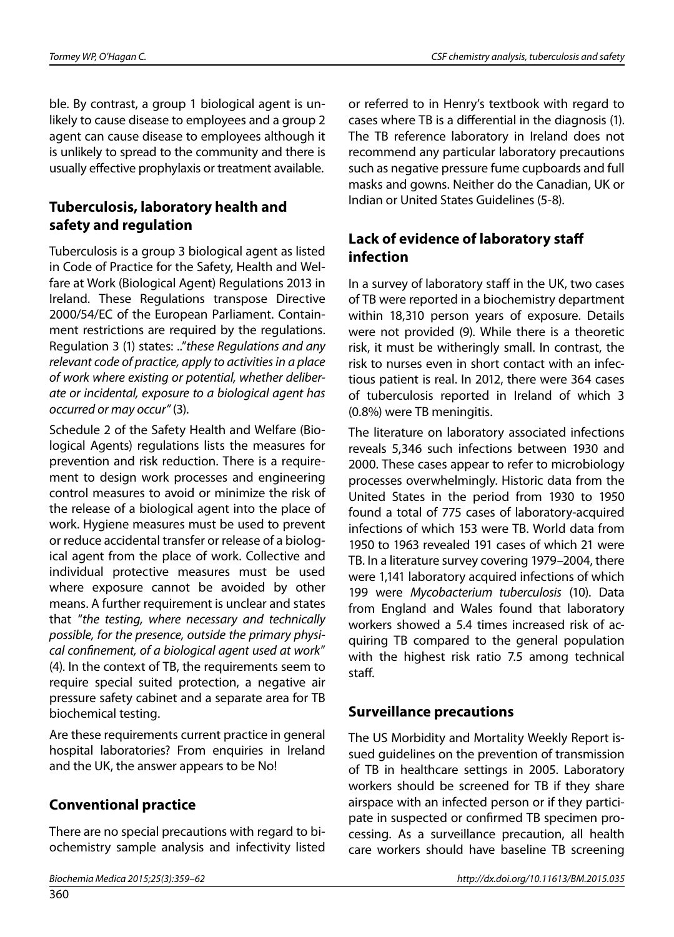ble. By contrast, a group 1 biological agent is unlikely to cause disease to employees and a group 2 agent can cause disease to employees although it is unlikely to spread to the community and there is usually effective prophylaxis or treatment available.

# **Tuberculosis, laboratory health and safety and regulation**

Tuberculosis is a group 3 biological agent as listed in Code of Practice for the Safety, Health and Welfare at Work (Biological Agent) Regulations 2013 in Ireland. These Regulations transpose Directive 2000/54/EC of the European Parliament. Containment restrictions are required by the regulations. Regulation 3 (1) states: .."*these Regulations and any relevant code of practice, apply to activities in a place of work where existing or potential, whether deliberate or incidental, exposure to a biological agent has occurred or may occur"* (3).

Schedule 2 of the Safety Health and Welfare (Biological Agents) regulations lists the measures for prevention and risk reduction. There is a requirement to design work processes and engineering control measures to avoid or minimize the risk of the release of a biological agent into the place of work. Hygiene measures must be used to prevent or reduce accidental transfer or release of a biological agent from the place of work. Collective and individual protective measures must be used where exposure cannot be avoided by other means. A further requirement is unclear and states that "*the testing, where necessary and technically possible, for the presence, outside the primary physical confinement, of a biological agent used at work*" (4). In the context of TB, the requirements seem to require special suited protection, a negative air pressure safety cabinet and a separate area for TB biochemical testing.

Are these requirements current practice in general hospital laboratories? From enquiries in Ireland and the UK, the answer appears to be No!

## **Conventional practice**

There are no special precautions with regard to biochemistry sample analysis and infectivity listed

or referred to in Henry's textbook with regard to cases where TB is a differential in the diagnosis (1). The TB reference laboratory in Ireland does not recommend any particular laboratory precautions such as negative pressure fume cupboards and full masks and gowns. Neither do the Canadian, UK or Indian or United States Guidelines (5-8).

## **Lack of evidence of laboratory staff infection**

In a survey of laboratory staff in the UK, two cases of TB were reported in a biochemistry department within 18,310 person years of exposure. Details were not provided (9). While there is a theoretic risk, it must be witheringly small. In contrast, the risk to nurses even in short contact with an infectious patient is real. In 2012, there were 364 cases of tuberculosis reported in Ireland of which 3 (0.8%) were TB meningitis.

The literature on laboratory associated infections reveals 5,346 such infections between 1930 and 2000. These cases appear to refer to microbiology processes overwhelmingly. Historic data from the United States in the period from 1930 to 1950 found a total of 775 cases of laboratory-acquired infections of which 153 were TB. World data from 1950 to 1963 revealed 191 cases of which 21 were TB. In a literature survey covering 1979–2004, there were 1,141 laboratory acquired infections of which 199 were *Mycobacterium tuberculosis* (10). Data from England and Wales found that laboratory workers showed a 5.4 times increased risk of acquiring TB compared to the general population with the highest risk ratio 7.5 among technical staff.

### **Surveillance precautions**

The US Morbidity and Mortality Weekly Report issued guidelines on the prevention of transmission of TB in healthcare settings in 2005. Laboratory workers should be screened for TB if they share airspace with an infected person or if they participate in suspected or confirmed TB specimen processing. As a surveillance precaution, all health care workers should have baseline TB screening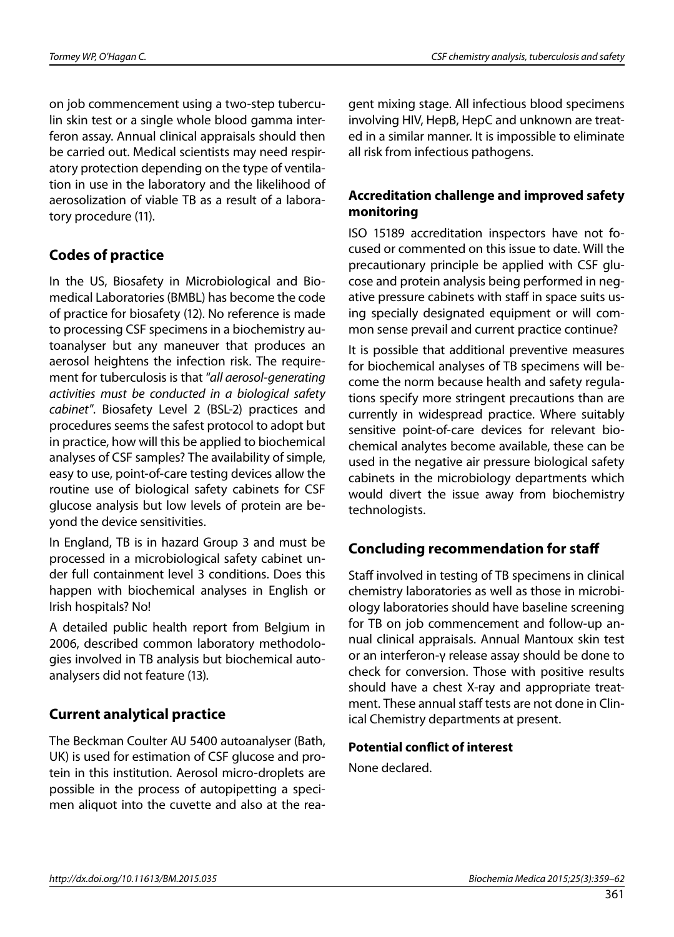on job commencement using a two-step tuberculin skin test or a single whole blood gamma interferon assay. Annual clinical appraisals should then be carried out. Medical scientists may need respiratory protection depending on the type of ventilation in use in the laboratory and the likelihood of aerosolization of viable TB as a result of a laboratory procedure (11).

### **Codes of practice**

In the US, Biosafety in Microbiological and Biomedical Laboratories (BMBL) has become the code of practice for biosafety (12). No reference is made to processing CSF specimens in a biochemistry autoanalyser but any maneuver that produces an aerosol heightens the infection risk. The requirement for tuberculosis is that "*all aerosol-generating activities must be conducted in a biological safety cabinet*". Biosafety Level 2 (BSL-2) practices and procedures seems the safest protocol to adopt but in practice, how will this be applied to biochemical analyses of CSF samples? The availability of simple, easy to use, point-of-care testing devices allow the routine use of biological safety cabinets for CSF glucose analysis but low levels of protein are beyond the device sensitivities.

In England, TB is in hazard Group 3 and must be processed in a microbiological safety cabinet under full containment level 3 conditions. Does this happen with biochemical analyses in English or Irish hospitals? No!

A detailed public health report from Belgium in 2006, described common laboratory methodologies involved in TB analysis but biochemical autoanalysers did not feature (13).

### **Current analytical practice**

The Beckman Coulter AU 5400 autoanalyser (Bath, UK) is used for estimation of CSF glucose and protein in this institution. Aerosol micro-droplets are possible in the process of autopipetting a specimen aliquot into the cuvette and also at the reagent mixing stage. All infectious blood specimens involving HIV, HepB, HepC and unknown are treated in a similar manner. It is impossible to eliminate all risk from infectious pathogens.

#### **Accreditation challenge and improved safety monitoring**

ISO 15189 accreditation inspectors have not focused or commented on this issue to date. Will the precautionary principle be applied with CSF glucose and protein analysis being performed in negative pressure cabinets with staff in space suits using specially designated equipment or will common sense prevail and current practice continue?

It is possible that additional preventive measures for biochemical analyses of TB specimens will become the norm because health and safety regulations specify more stringent precautions than are currently in widespread practice. Where suitably sensitive point-of-care devices for relevant biochemical analytes become available, these can be used in the negative air pressure biological safety cabinets in the microbiology departments which would divert the issue away from biochemistry technologists.

### **Concluding recommendation for staff**

Staff involved in testing of TB specimens in clinical chemistry laboratories as well as those in microbiology laboratories should have baseline screening for TB on job commencement and follow-up annual clinical appraisals. Annual Mantoux skin test or an interferon-γ release assay should be done to check for conversion. Those with positive results should have a chest X-ray and appropriate treatment. These annual staff tests are not done in Clinical Chemistry departments at present.

#### **Potential conflict of interest**

None declared.